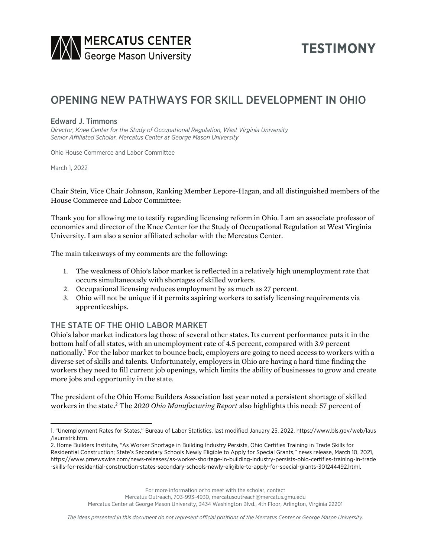

# **TESTIMONY**

# OPENING NEW PATHWAYS FOR SKILL DEVELOPMENT IN OHIO

#### Edward J. Timmons

*Director, Knee Center for the Study of Occupational Regulation, West Virginia University Senior Affiliated Scholar, Mercatus Center at George Mason University*

Ohio House Commerce and Labor Committee

March 1, 2022

Chair Stein, Vice Chair Johnson, Ranking Member Lepore-Hagan, and all distinguished members of the House Commerce and Labor Committee:

Thank you for allowing me to testify regarding licensing reform in Ohio. I am an associate professor of economics and director of the Knee Center for the Study of Occupational Regulation at West Virginia University. I am also a senior affiliated scholar with the Mercatus Center.

The main takeaways of my comments are the following:

- 1. The weakness of Ohio's labor market is reflected in a relatively high unemployment rate that occurs simultaneously with shortages of skilled workers.
- 2. Occupational licensing reduces employment by as much as 27 percent.
- 3. Ohio will not be unique if it permits aspiring workers to satisfy licensing requirements via apprenticeships.

## THE STATE OF THE OHIO LABOR MARKET

Ohio's labor market indicators lag those of several other states. Its current performance puts it in the bottom half of all states, with an unemployment rate of 4.5 percent, compared with 3.9 percent nationally.1 For the labor market to bounce back, employers are going to need access to workers with a diverse set of skills and talents. Unfortunately, employers in Ohio are having a hard time finding the workers they need to fill current job openings, which limits the ability of businesses to grow and create more jobs and opportunity in the state.

The president of the Ohio Home Builders Association last year noted a persistent shortage of skilled workers in the state.2 The *2020 Ohio Manufacturing Report* also highlights this need: 57 percent of

For more information or to meet with the scholar, contact

Mercatus Outreach, 703-993-4930, mercatusoutreach@mercatus.gmu.edu

Mercatus Center at George Mason University, 3434 Washington Blvd., 4th Floor, Arlington, Virginia 22201

<sup>1.</sup> "Unemployment Rates for States," Bureau of Labor Statistics, last modified January 25, 2022, [https://www.bls.gov/web/laus](https://www.bls.gov/web/laus/laumstrk.htm) [/laumstrk.htm.](https://www.bls.gov/web/laus/laumstrk.htm)

<sup>2.</sup> Home Builders Institute, "As Worker Shortage in Building Industry Persists, Ohio Certifies Training in Trade Skills for Residential Construction; State's Secondary Schools Newly Eligible to Apply for Special Grants," news release, March 10, 2021, [https://www.prnewswire.com/news-releases/as-worker-shortage-in-building-industry-persists-ohio-certifies-training-in-trade](https://www.prnewswire.com/news-releases/as-worker-shortage-in-building-industry-persists-ohio-certifies-training-in-trade-skills-for-residential-construction-states-secondary-schools-newly-eligible-to-apply-for-special-grants-301244492.html) [-skills-for-residential-construction-states-secondary-schools-newly-eligible-to-apply-for-special-grants-301244492.html](https://www.prnewswire.com/news-releases/as-worker-shortage-in-building-industry-persists-ohio-certifies-training-in-trade-skills-for-residential-construction-states-secondary-schools-newly-eligible-to-apply-for-special-grants-301244492.html).